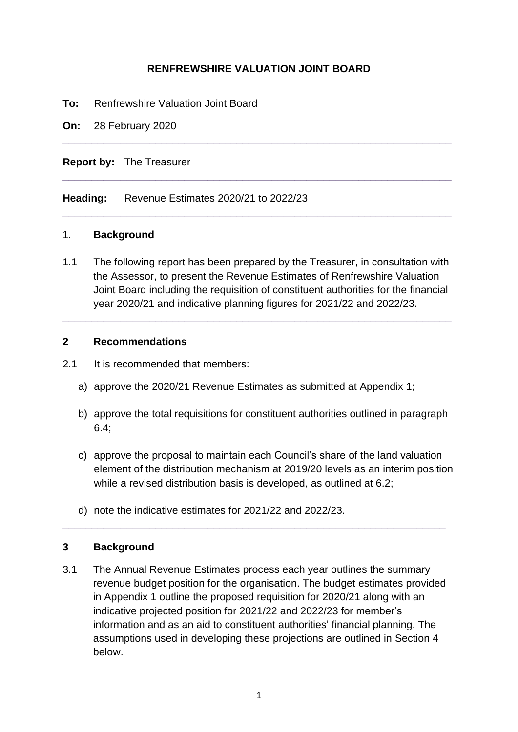## **RENFREWSHIRE VALUATION JOINT BOARD**

**\_\_\_\_\_\_\_\_\_\_\_\_\_\_\_\_\_\_\_\_\_\_\_\_\_\_\_\_\_\_\_\_\_\_\_\_\_\_\_\_\_\_\_\_\_\_\_\_\_\_\_\_\_\_\_\_\_\_\_\_\_\_\_\_\_\_\_**

**\_\_\_\_\_\_\_\_\_\_\_\_\_\_\_\_\_\_\_\_\_\_\_\_\_\_\_\_\_\_\_\_\_\_\_\_\_\_\_\_\_\_\_\_\_\_\_\_\_\_\_\_\_\_\_\_\_\_\_\_\_\_\_\_\_\_\_**

**\_\_\_\_\_\_\_\_\_\_\_\_\_\_\_\_\_\_\_\_\_\_\_\_\_\_\_\_\_\_\_\_\_\_\_\_\_\_\_\_\_\_\_\_\_\_\_\_\_\_\_\_\_\_\_\_\_\_\_\_\_\_\_\_\_\_\_**

- **To:** Renfrewshire Valuation Joint Board
- **On:** 28 February 2020

**Report by:** The Treasurer

**Heading:** Revenue Estimates 2020/21 to 2022/23

#### 1. **Background**

1.1 The following report has been prepared by the Treasurer, in consultation with the Assessor, to present the Revenue Estimates of Renfrewshire Valuation Joint Board including the requisition of constituent authorities for the financial year 2020/21 and indicative planning figures for 2021/22 and 2022/23.

**\_\_\_\_\_\_\_\_\_\_\_\_\_\_\_\_\_\_\_\_\_\_\_\_\_\_\_\_\_\_\_\_\_\_\_\_\_\_\_\_\_\_\_\_\_\_\_\_\_\_\_\_\_\_\_\_\_\_\_\_\_\_\_\_\_\_\_**

#### **2 Recommendations**

- 2.1 It is recommended that members:
	- a) approve the 2020/21 Revenue Estimates as submitted at Appendix 1;
	- b) approve the total requisitions for constituent authorities outlined in paragraph 6.4;
	- c) approve the proposal to maintain each Council's share of the land valuation element of the distribution mechanism at 2019/20 levels as an interim position while a revised distribution basis is developed, as outlined at 6.2;
	- d) note the indicative estimates for 2021/22 and 2022/23.

#### **3 Background**

3.1 The Annual Revenue Estimates process each year outlines the summary revenue budget position for the organisation. The budget estimates provided in Appendix 1 outline the proposed requisition for 2020/21 along with an indicative projected position for 2021/22 and 2022/23 for member's information and as an aid to constituent authorities' financial planning. The assumptions used in developing these projections are outlined in Section 4 below.

**\_\_\_\_\_\_\_\_\_\_\_\_\_\_\_\_\_\_\_\_\_\_\_\_\_\_\_\_\_\_\_\_\_\_\_\_\_\_\_\_\_\_\_\_\_\_\_\_\_\_\_\_\_\_\_\_\_\_\_\_\_\_\_\_\_\_**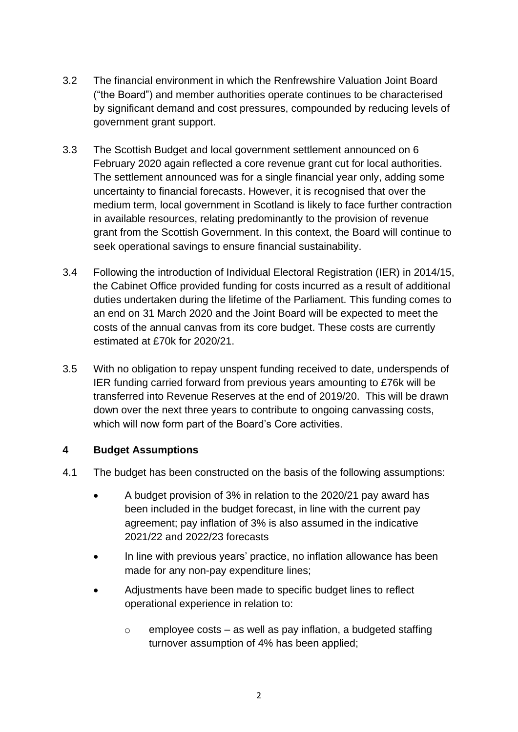- 3.2 The financial environment in which the Renfrewshire Valuation Joint Board ("the Board") and member authorities operate continues to be characterised by significant demand and cost pressures, compounded by reducing levels of government grant support.
- 3.3 The Scottish Budget and local government settlement announced on 6 February 2020 again reflected a core revenue grant cut for local authorities. The settlement announced was for a single financial year only, adding some uncertainty to financial forecasts. However, it is recognised that over the medium term, local government in Scotland is likely to face further contraction in available resources, relating predominantly to the provision of revenue grant from the Scottish Government. In this context, the Board will continue to seek operational savings to ensure financial sustainability.
- 3.4 Following the introduction of Individual Electoral Registration (IER) in 2014/15, the Cabinet Office provided funding for costs incurred as a result of additional duties undertaken during the lifetime of the Parliament. This funding comes to an end on 31 March 2020 and the Joint Board will be expected to meet the costs of the annual canvas from its core budget. These costs are currently estimated at £70k for 2020/21.
- 3.5 With no obligation to repay unspent funding received to date, underspends of IER funding carried forward from previous years amounting to £76k will be transferred into Revenue Reserves at the end of 2019/20. This will be drawn down over the next three years to contribute to ongoing canvassing costs, which will now form part of the Board's Core activities.

## **4 Budget Assumptions**

- 4.1 The budget has been constructed on the basis of the following assumptions:
	- A budget provision of 3% in relation to the 2020/21 pay award has been included in the budget forecast, in line with the current pay agreement; pay inflation of 3% is also assumed in the indicative 2021/22 and 2022/23 forecasts
	- In line with previous years' practice, no inflation allowance has been made for any non-pay expenditure lines;
	- Adjustments have been made to specific budget lines to reflect operational experience in relation to:
		- $\circ$  employee costs as well as pay inflation, a budgeted staffing turnover assumption of 4% has been applied;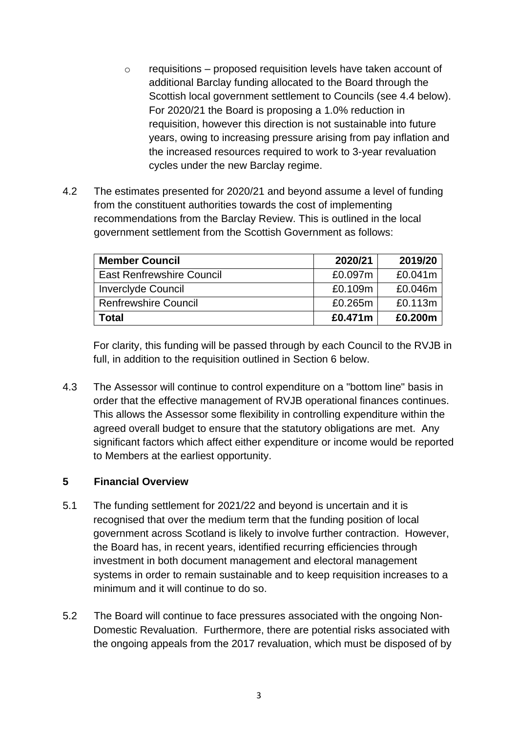- $\circ$  requisitions proposed requisition levels have taken account of additional Barclay funding allocated to the Board through the Scottish local government settlement to Councils (see 4.4 below). For 2020/21 the Board is proposing a 1.0% reduction in requisition, however this direction is not sustainable into future years, owing to increasing pressure arising from pay inflation and the increased resources required to work to 3-year revaluation cycles under the new Barclay regime.
- 4.2 The estimates presented for 2020/21 and beyond assume a level of funding from the constituent authorities towards the cost of implementing recommendations from the Barclay Review. This is outlined in the local government settlement from the Scottish Government as follows:

| <b>Member Council</b>            | 2020/21 | 2019/20 |
|----------------------------------|---------|---------|
| <b>East Renfrewshire Council</b> | £0.097m | £0.041m |
| <b>Inverclyde Council</b>        | £0.109m | £0.046m |
| <b>Renfrewshire Council</b>      | £0.265m | £0.113m |
| Total                            | £0.471m | £0.200m |

For clarity, this funding will be passed through by each Council to the RVJB in full, in addition to the requisition outlined in Section 6 below.

4.3 The Assessor will continue to control expenditure on a "bottom line" basis in order that the effective management of RVJB operational finances continues. This allows the Assessor some flexibility in controlling expenditure within the agreed overall budget to ensure that the statutory obligations are met. Any significant factors which affect either expenditure or income would be reported to Members at the earliest opportunity.

## **5 Financial Overview**

- 5.1 The funding settlement for 2021/22 and beyond is uncertain and it is recognised that over the medium term that the funding position of local government across Scotland is likely to involve further contraction. However, the Board has, in recent years, identified recurring efficiencies through investment in both document management and electoral management systems in order to remain sustainable and to keep requisition increases to a minimum and it will continue to do so.
- 5.2 The Board will continue to face pressures associated with the ongoing Non-Domestic Revaluation. Furthermore, there are potential risks associated with the ongoing appeals from the 2017 revaluation, which must be disposed of by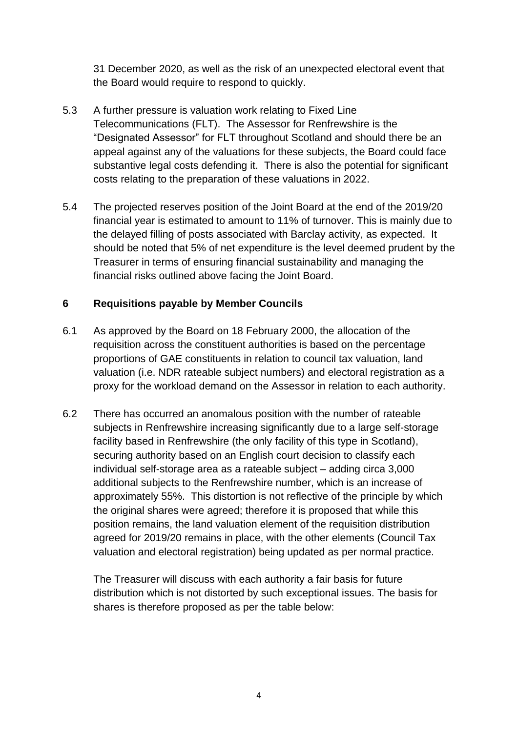31 December 2020, as well as the risk of an unexpected electoral event that the Board would require to respond to quickly.

- 5.3 A further pressure is valuation work relating to Fixed Line Telecommunications (FLT). The Assessor for Renfrewshire is the "Designated Assessor" for FLT throughout Scotland and should there be an appeal against any of the valuations for these subjects, the Board could face substantive legal costs defending it. There is also the potential for significant costs relating to the preparation of these valuations in 2022.
- 5.4 The projected reserves position of the Joint Board at the end of the 2019/20 financial year is estimated to amount to 11% of turnover. This is mainly due to the delayed filling of posts associated with Barclay activity, as expected. It should be noted that 5% of net expenditure is the level deemed prudent by the Treasurer in terms of ensuring financial sustainability and managing the financial risks outlined above facing the Joint Board.

## **6 Requisitions payable by Member Councils**

- 6.1 As approved by the Board on 18 February 2000, the allocation of the requisition across the constituent authorities is based on the percentage proportions of GAE constituents in relation to council tax valuation, land valuation (i.e. NDR rateable subject numbers) and electoral registration as a proxy for the workload demand on the Assessor in relation to each authority.
- 6.2 There has occurred an anomalous position with the number of rateable subjects in Renfrewshire increasing significantly due to a large self-storage facility based in Renfrewshire (the only facility of this type in Scotland), securing authority based on an English court decision to classify each individual self-storage area as a rateable subject – adding circa 3,000 additional subjects to the Renfrewshire number, which is an increase of approximately 55%. This distortion is not reflective of the principle by which the original shares were agreed; therefore it is proposed that while this position remains, the land valuation element of the requisition distribution agreed for 2019/20 remains in place, with the other elements (Council Tax valuation and electoral registration) being updated as per normal practice.

The Treasurer will discuss with each authority a fair basis for future distribution which is not distorted by such exceptional issues. The basis for shares is therefore proposed as per the table below: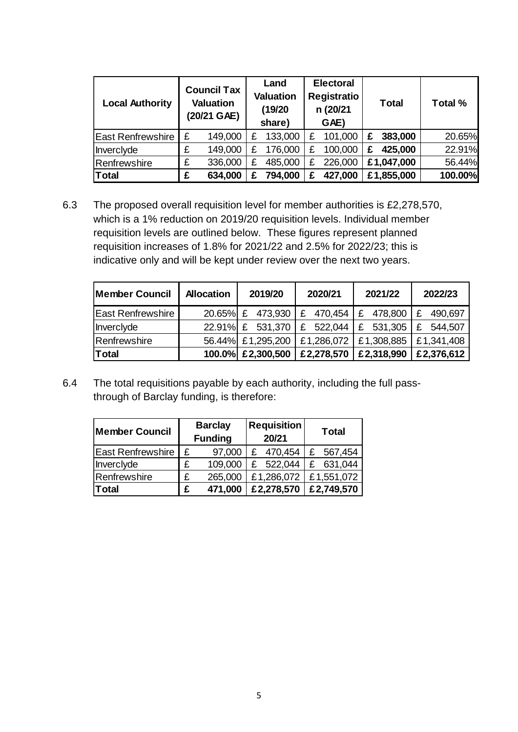| <b>Local Authority</b>   | <b>Council Tax</b><br><b>Valuation</b><br>(20/21 GAE) |         | Land<br><b>Valuation</b><br>(19/20)<br>share) |         | <b>Electoral</b><br><b>Registratio</b><br>n (20/21<br>GAE) |         |   | <b>Total</b> | Total % |
|--------------------------|-------------------------------------------------------|---------|-----------------------------------------------|---------|------------------------------------------------------------|---------|---|--------------|---------|
| <b>East Renfrewshire</b> | £                                                     | 149,000 | £                                             | 133,000 | £                                                          | 101,000 | £ | 383,000      | 20.65%  |
| Inverclyde               | £                                                     | 149,000 | £                                             | 176,000 | £                                                          | 100,000 | £ | 425,000      | 22.91%  |
| Renfrewshire             | £                                                     | 336,000 |                                               | 485,000 | £                                                          | 226,000 |   | £1,047,000   | 56.44%  |
| <b>Total</b>             | £                                                     | 634,000 |                                               | 794,000 | £                                                          | 427,000 |   | £1,855,000   | 100.00% |

6.3 The proposed overall requisition level for member authorities is £2,278,570, which is a 1% reduction on 2019/20 requisition levels. Individual member requisition levels are outlined below. These figures represent planned requisition increases of 1.8% for 2021/22 and 2.5% for 2022/23; this is indicative only and will be kept under review over the next two years.

| <b>Member Council</b>    | <b>Allocation</b> | 2019/20           | 2020/21                                       | 2021/22    | 2022/23      |  |
|--------------------------|-------------------|-------------------|-----------------------------------------------|------------|--------------|--|
| <b>East Renfrewshire</b> |                   |                   | $20.65\%$ £ 473,930 $E$ 470,454 $E$ 478,800   |            | £ 490,697    |  |
| Inverclyde               |                   |                   | 22.91% $\&$ 531,370 $\&$ 522,044 $\&$ 531,305 |            | £<br>544,507 |  |
| Renfrewshire             |                   | 56.44% £1,295,200 | £1,286,072                                    | £1,308,885 | £1,341,408   |  |
| <b>Total</b>             |                   | 100.0% £2,300,500 | £2,278,570                                    | £2,318,990 | £2,376,612   |  |

6.4 The total requisitions payable by each authority, including the full passthrough of Barclay funding, is therefore:

| <b>Member Council</b>    |   | <b>Barclay</b><br><b>Funding</b> | <b>Requisition</b><br>20/21 | <b>Total</b> |  |
|--------------------------|---|----------------------------------|-----------------------------|--------------|--|
| <b>East Renfrewshire</b> | £ | 97,000                           | 470,454<br>£                | 567,454<br>£ |  |
| Inverclyde               | £ | 109,000                          | 522,044<br>£                | 631,044<br>£ |  |
| Renfrewshire             | £ | 265,000                          | £1,286,072                  | £1,551,072   |  |
| <b>Total</b>             | £ | 471,000                          | £2,278,570                  | £2,749,570   |  |